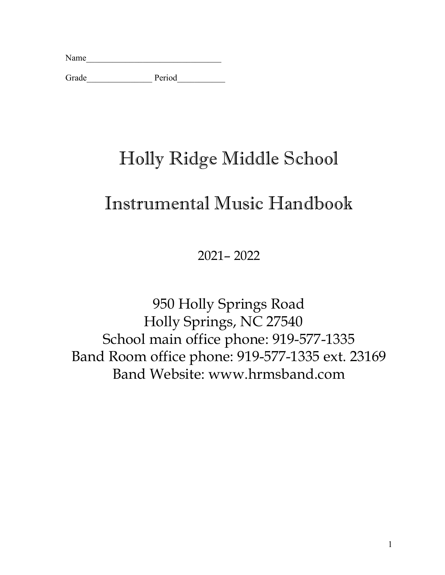| Name |  |  |  |
|------|--|--|--|
|      |  |  |  |

Grade\_\_\_\_\_\_\_\_\_\_\_\_\_\_\_ Period\_\_\_\_\_\_\_\_\_\_\_

# Holly Ridge Middle School

# Instrumental Music Handbook

2021– 2022

950 Holly Springs Road Holly Springs, NC 27540 School main office phone: 919-577-1335 Band Room office phone: 919-577-1335 ext. 23169 Band Website: www.hrmsband.com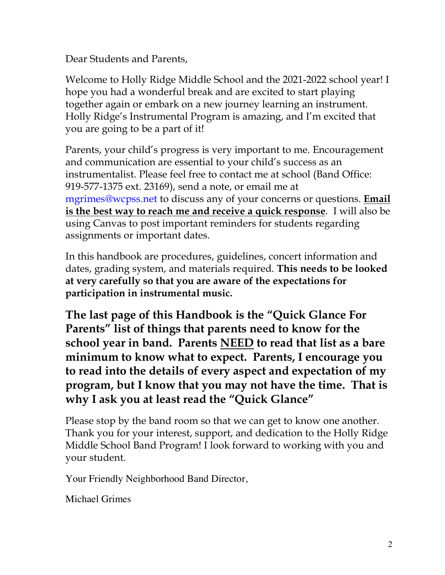Dear Students and Parents,

Welcome to Holly Ridge Middle School and the 2021-2022 school year! I hope you had a wonderful break and are excited to start playing together again or embark on a new journey learning an instrument. Holly Ridge's Instrumental Program is amazing, and I'm excited that you are going to be a part of it!

Parents, your child's progress is very important to me. Encouragement and communication are essential to your child's success as an instrumentalist. Please feel free to contact me at school (Band Office: 919-577-1375 ext. 23169), send a note, or email me at mgrimes@wcpss.net to discuss any of your concerns or questions. **Email is the best way to reach me and receive a quick response**. I will also be using Canvas to post important reminders for students regarding assignments or important dates.

In this handbook are procedures, guidelines, concert information and dates, grading system, and materials required. **This needs to be looked at very carefully so that you are aware of the expectations for participation in instrumental music.** 

**The last page of this Handbook is the "Quick Glance For Parents" list of things that parents need to know for the school year in band. Parents NEED to read that list as a bare minimum to know what to expect. Parents, I encourage you to read into the details of every aspect and expectation of my program, but I know that you may not have the time. That is why I ask you at least read the "Quick Glance"**

Please stop by the band room so that we can get to know one another. Thank you for your interest, support, and dedication to the Holly Ridge Middle School Band Program! I look forward to working with you and your student.

Your Friendly Neighborhood Band Director,

Michael Grimes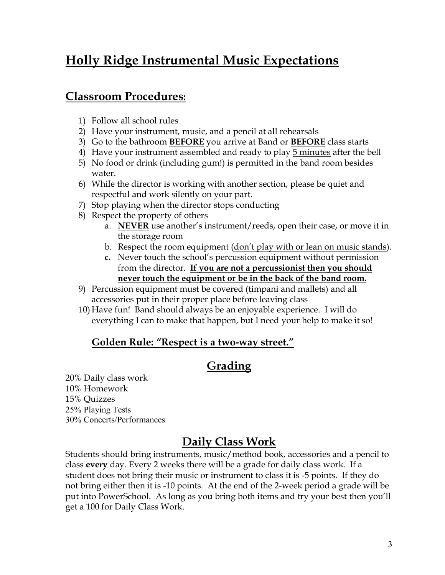## **Holly Ridge Instrumental Music Expectations**

## **Classroom Procedures:**

- 1) Follow all school rules
- 2) Have your instrument, music, and a pencil at all rehearsals
- 3) Go to the bathroom **BEFORE** you arrive at Band or **BEFORE** class starts
- 4) Have your instrument assembled and ready to play 5 minutes after the bell
- 5) No food or drink (including gum!) is permitted in the band room besides water.
- 6) While the director is working with another section, please be quiet and respectful and work silently on your part.
- 7) Stop playing when the director stops conducting
- 8) Respect the property of others
	- a. **NEVER** use another's instrument/reeds, open their case, or move it in the storage room
	- b. Respect the room equipment (don't play with or lean on music stands).
	- **c.** Never touch the school's percussion equipment without permission from the director. **If you are not a percussionist then you should never touch the equipment or be in the back of the band room.**
- 9) Percussion equipment must be covered (timpani and mallets) and all accessories put in their proper place before leaving class
- 10) Have fun! Band should always be an enjoyable experience. I will do everything I can to make that happen, but I need your help to make it so!

#### **Golden Rule: "Respect is a two-way street."**

## **Grading**

20% Daily class work 10% Homework 15% Quizzes 25% Playing Tests 30% Concerts/Performances

## **Daily Class Work**

Students should bring instruments, music/method book, accessories and a pencil to class **every** day. Every 2 weeks there will be a grade for daily class work. If a student does not bring their music or instrument to class it is -5 points. If they do not bring either then it is -10 points. At the end of the 2-week period a grade will be put into PowerSchool. As long as you bring both items and try your best then you'll get a 100 for Daily Class Work.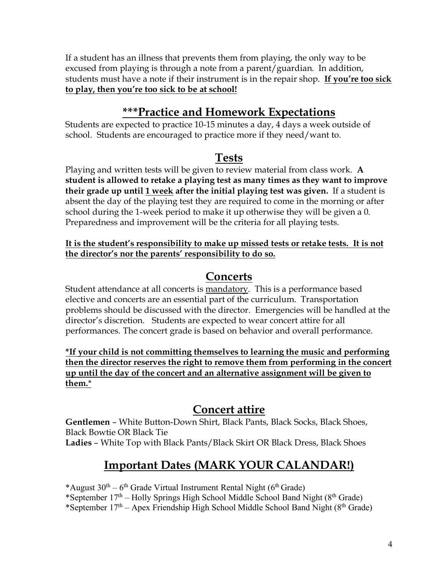If a student has an illness that prevents them from playing, the only way to be excused from playing is through a note from a parent/guardian. In addition, students must have a note if their instrument is in the repair shop. **If you're too sick to play, then you're too sick to be at school!**

## **\*\*\*Practice and Homework Expectations**

Students are expected to practice 10-15 minutes a day, 4 days a week outside of school. Students are encouraged to practice more if they need/want to.

## **Tests**

Playing and written tests will be given to review material from class work. **A student is allowed to retake a playing test as many times as they want to improve their grade up until 1 week after the initial playing test was given.** If a student is absent the day of the playing test they are required to come in the morning or after school during the 1-week period to make it up otherwise they will be given a 0. Preparedness and improvement will be the criteria for all playing tests.

**It is the student's responsibility to make up missed tests or retake tests. It is not the director's nor the parents' responsibility to do so.**

## **Concerts**

Student attendance at all concerts is mandatory. This is a performance based elective and concerts are an essential part of the curriculum. Transportation problems should be discussed with the director. Emergencies will be handled at the director's discretion. Students are expected to wear concert attire for all performances. The concert grade is based on behavior and overall performance.

**\*If your child is not committing themselves to learning the music and performing then the director reserves the right to remove them from performing in the concert up until the day of the concert and an alternative assignment will be given to them.**\*

## **Concert attire**

**Gentlemen** – White Button-Down Shirt, Black Pants, Black Socks, Black Shoes, Black Bowtie OR Black Tie **Ladies** – White Top with Black Pants/Black Skirt OR Black Dress, Black Shoes

## **Important Dates (MARK YOUR CALANDAR!)**

\*August  $30^{th} - 6^{th}$  Grade Virtual Instrument Rental Night ( $6^{th}$  Grade)

\*September  $17<sup>th</sup>$  – Holly Springs High School Middle School Band Night ( $8<sup>th</sup>$  Grade)

\*September  $17<sup>th</sup>$  – Apex Friendship High School Middle School Band Night ( $8<sup>th</sup>$  Grade)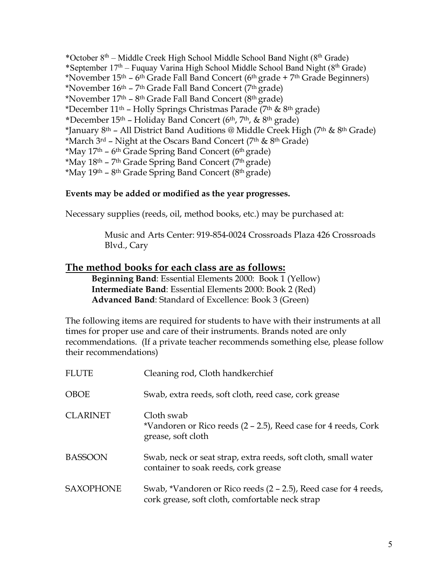\*October  $8<sup>th</sup>$  – Middle Creek High School Middle School Band Night ( $8<sup>th</sup>$  Grade) \*September  $17<sup>th</sup>$  – Fuquay Varina High School Middle School Band Night ( $8<sup>th</sup>$  Grade) \*November  $15<sup>th</sup> - 6<sup>th</sup>$  Grade Fall Band Concert (6<sup>th</sup> grade + 7<sup>th</sup> Grade Beginners) \*November  $16<sup>th</sup> - 7<sup>th</sup>$  Grade Fall Band Concert ( $7<sup>th</sup>$  grade) \*November  $17<sup>th</sup>$  – 8<sup>th</sup> Grade Fall Band Concert (8<sup>th</sup> grade) \*December  $11<sup>th</sup>$  – Holly Springs Christmas Parade (7<sup>th</sup> & 8<sup>th</sup> grade) **\***December 15th – Holiday Band Concert (6th, 7th, & 8th grade) \*January 8<sup>th</sup> – All District Band Auditions @ Middle Creek High (7<sup>th</sup> & 8<sup>th</sup> Grade) \*March  $3^{rd}$  – Night at the Oscars Band Concert ( $7<sup>th</sup>$  &  $8<sup>th</sup>$  Grade) \*May  $17<sup>th</sup>$  – 6<sup>th</sup> Grade Spring Band Concert (6<sup>th</sup> grade) \*May  $18<sup>th</sup>$  – 7<sup>th</sup> Grade Spring Band Concert (7<sup>th</sup> grade) \*May  $19<sup>th</sup> - 8<sup>th</sup>$  Grade Spring Band Concert ( $8<sup>th</sup>$  grade)

#### **Events may be added or modified as the year progresses.**

Necessary supplies (reeds, oil, method books, etc.) may be purchased at:

Music and Arts Center: 919-854-0024 Crossroads Plaza 426 Crossroads Blvd., Cary

#### **The method books for each class are as follows:**

**Beginning Band**: Essential Elements 2000: Book 1 (Yellow) **Intermediate Band**: Essential Elements 2000: Book 2 (Red) **Advanced Band**: Standard of Excellence: Book 3 (Green)

The following items are required for students to have with their instruments at all times for proper use and care of their instruments. Brands noted are only recommendations. (If a private teacher recommends something else, please follow their recommendations)

| <b>FLUTE</b>     | Cleaning rod, Cloth handkerchief                                                                                   |
|------------------|--------------------------------------------------------------------------------------------------------------------|
| <b>OBOE</b>      | Swab, extra reeds, soft cloth, reed case, cork grease                                                              |
| <b>CLARINET</b>  | Cloth swab<br>*Vandoren or Rico reeds (2 – 2.5), Reed case for 4 reeds, Cork<br>grease, soft cloth                 |
| <b>BASSOON</b>   | Swab, neck or seat strap, extra reeds, soft cloth, small water<br>container to soak reeds, cork grease             |
| <b>SAXOPHONE</b> | Swab, *Vandoren or Rico reeds (2 – 2.5), Reed case for 4 reeds,<br>cork grease, soft cloth, comfortable neck strap |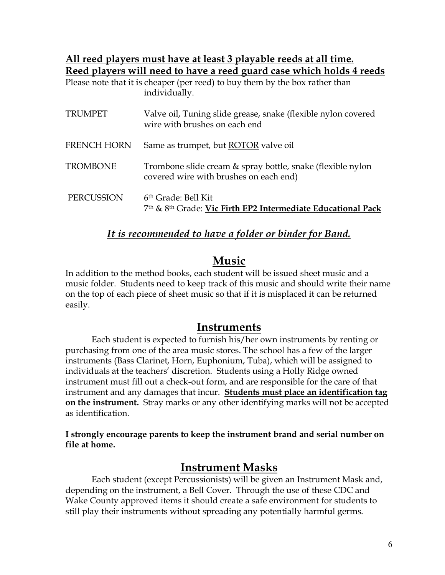#### **All reed players must have at least 3 playable reeds at all time. Reed players will need to have a reed guard case which holds 4 reeds**

| Please note that it is cheaper (per reed) to buy them by the box rather than |  |  |
|------------------------------------------------------------------------------|--|--|
| individually.                                                                |  |  |

| <b>TRUMPET</b>     | Valve oil, Tuning slide grease, snake (flexible nylon covered<br>wire with brushes on each end       |
|--------------------|------------------------------------------------------------------------------------------------------|
| <b>FRENCH HORN</b> | Same as trumpet, but ROTOR valve oil                                                                 |
| <b>TROMBONE</b>    | Trombone slide cream & spray bottle, snake (flexible nylon<br>covered wire with brushes on each end) |
| PERCUSSION         | 6 <sup>th</sup> Grade: Bell Kit<br>7th & 8th Grade: Vic Firth EP2 Intermediate Educational Pack      |

#### *It is recommended to have a folder or binder for Band.*

## **Music**

In addition to the method books, each student will be issued sheet music and a music folder. Students need to keep track of this music and should write their name on the top of each piece of sheet music so that if it is misplaced it can be returned easily.

### **Instruments**

Each student is expected to furnish his/her own instruments by renting or purchasing from one of the area music stores. The school has a few of the larger instruments (Bass Clarinet, Horn, Euphonium, Tuba), which will be assigned to individuals at the teachers' discretion. Students using a Holly Ridge owned instrument must fill out a check-out form, and are responsible for the care of that instrument and any damages that incur. **Students must place an identification tag on the instrument.** Stray marks or any other identifying marks will not be accepted as identification.

**I strongly encourage parents to keep the instrument brand and serial number on file at home.**

## **Instrument Masks**

Each student (except Percussionists) will be given an Instrument Mask and, depending on the instrument, a Bell Cover. Through the use of these CDC and Wake County approved items it should create a safe environment for students to still play their instruments without spreading any potentially harmful germs.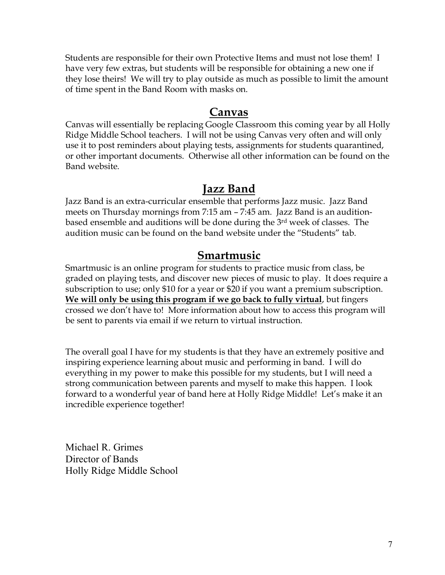Students are responsible for their own Protective Items and must not lose them! I have very few extras, but students will be responsible for obtaining a new one if they lose theirs! We will try to play outside as much as possible to limit the amount of time spent in the Band Room with masks on.

#### **Canvas**

Canvas will essentially be replacing Google Classroom this coming year by all Holly Ridge Middle School teachers. I will not be using Canvas very often and will only use it to post reminders about playing tests, assignments for students quarantined, or other important documents. Otherwise all other information can be found on the Band website.

### **Jazz Band**

Jazz Band is an extra-curricular ensemble that performs Jazz music. Jazz Band meets on Thursday mornings from 7:15 am – 7:45 am. Jazz Band is an auditionbased ensemble and auditions will be done during the 3rd week of classes. The audition music can be found on the band website under the "Students" tab.

#### **Smartmusic**

Smartmusic is an online program for students to practice music from class, be graded on playing tests, and discover new pieces of music to play. It does require a subscription to use; only \$10 for a year or \$20 if you want a premium subscription. **We will only be using this program if we go back to fully virtual**, but fingers crossed we don't have to! More information about how to access this program will be sent to parents via email if we return to virtual instruction.

The overall goal I have for my students is that they have an extremely positive and inspiring experience learning about music and performing in band. I will do everything in my power to make this possible for my students, but I will need a strong communication between parents and myself to make this happen. I look forward to a wonderful year of band here at Holly Ridge Middle! Let's make it an incredible experience together!

Michael R. Grimes Director of Bands Holly Ridge Middle School